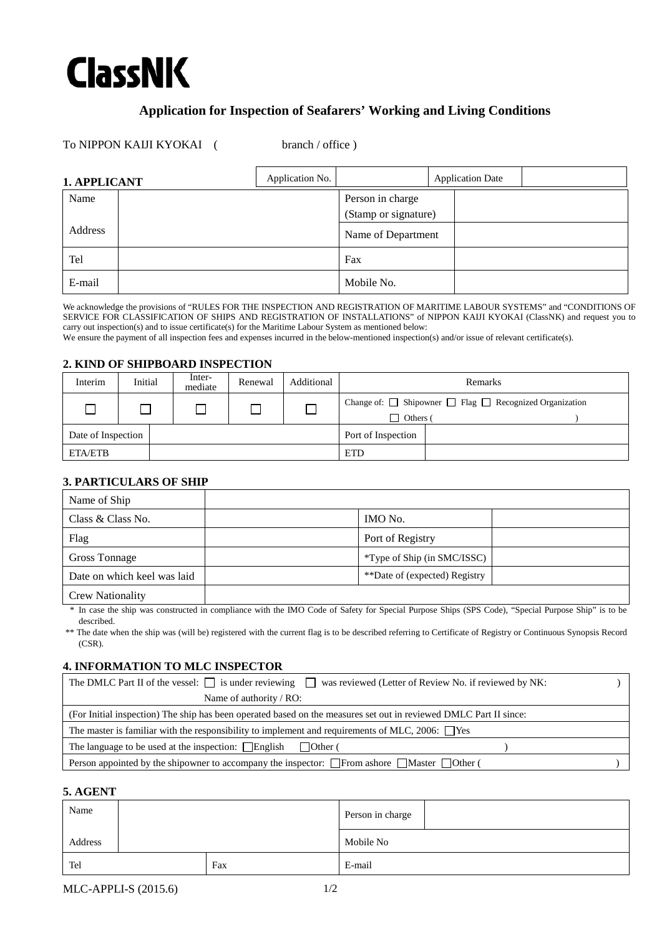# **ClassNK**

# **Application for Inspection of Seafarers' Working and Living Conditions**

To NIPPON KAIJI KYOKAI (branch / office)

| 1. APPLICANT | Application No. |                      | <b>Application Date</b> |  |
|--------------|-----------------|----------------------|-------------------------|--|
| Name         |                 | Person in charge     |                         |  |
|              |                 | (Stamp or signature) |                         |  |
| Address      |                 | Name of Department   |                         |  |
| Tel          |                 | Fax                  |                         |  |
| E-mail       |                 | Mobile No.           |                         |  |

We acknowledge the provisions of "RULES FOR THE INSPECTION AND REGISTRATION OF MARITIME LABOUR SYSTEMS" and "CONDITIONS OF SERVICE FOR CLASSIFICATION OF SHIPS AND REGISTRATION OF INSTALLATIONS" of NIPPON KAIJI KYOKAI (ClassNK) and request you to carry out inspection(s) and to issue certificate(s) for the Maritime Labour System as mentioned below:

We ensure the payment of all inspection fees and expenses incurred in the below-mentioned inspection(s) and/or issue of relevant certificate(s).

#### **2. KIND OF SHIPBOARD INSPECTION**

| Interim            | Initial | Inter-<br>mediate | Renewal | Additional | Remarks            |                                                                        |
|--------------------|---------|-------------------|---------|------------|--------------------|------------------------------------------------------------------------|
|                    |         |                   |         |            | Others (           | Change of: $\Box$ Shipowner $\Box$ Flag $\Box$ Recognized Organization |
| Date of Inspection |         |                   |         |            | Port of Inspection |                                                                        |
| ETA/ETB            |         |                   |         |            | <b>ETD</b>         |                                                                        |

## **3. PARTICULARS OF SHIP**

| Name of Ship                |                                     |  |
|-----------------------------|-------------------------------------|--|
| Class & Class No.           | IMO No.                             |  |
| Flag                        | Port of Registry                    |  |
| Gross Tonnage               | <i>*</i> Type of Ship (in SMC/ISSC) |  |
| Date on which keel was laid | **Date of (expected) Registry       |  |
| <b>Crew Nationality</b>     |                                     |  |

\* In case the ship was constructed in compliance with the IMO Code of Safety for Special Purpose Ships (SPS Code), "Special Purpose Ship" is to be described.

\*\* The date when the ship was (will be) registered with the current flag is to be described referring to Certificate of Registry or Continuous Synopsis Record (CSR).

### **4. INFORMATION TO MLC INSPECTOR**

| The DMLC Part II of the vessel: $\Box$ is under reviewing $\Box$ was reviewed (Letter of Review No. if reviewed by NK: |  |
|------------------------------------------------------------------------------------------------------------------------|--|
| Name of authority / RO:                                                                                                |  |
| (For Initial inspection) The ship has been operated based on the measures set out in reviewed DMLC Part II since:      |  |
| The master is familiar with the responsibility to implement and requirements of MLC, 2006: $\Box$ Yes                  |  |
| The language to be used at the inspection: $\Box$ English $\Box$ Other (                                               |  |
| Person appointed by the shipowner to accompany the inspector: $\Box$ From ashore $\Box$ Master $\Box$ Other (          |  |

### **5. AGENT**

| Name    |  |     | Person in charge |
|---------|--|-----|------------------|
| Address |  |     | Mobile No        |
| Tel     |  | Fax | E-mail           |